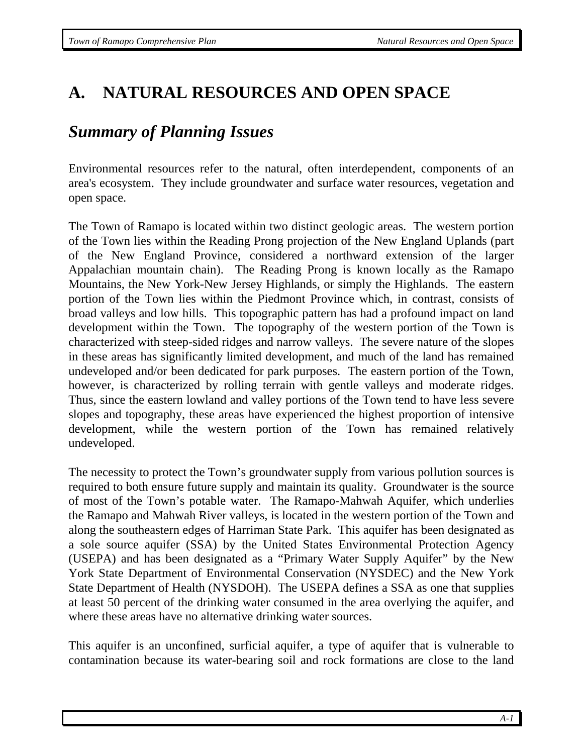# **A. NATURAL RESOURCES AND OPEN SPACE**

## *Summary of Planning Issues*

Environmental resources refer to the natural, often interdependent, components of an area's ecosystem. They include groundwater and surface water resources, vegetation and open space.

The Town of Ramapo is located within two distinct geologic areas. The western portion of the Town lies within the Reading Prong projection of the New England Uplands (part of the New England Province, considered a northward extension of the larger Appalachian mountain chain). The Reading Prong is known locally as the Ramapo Mountains, the New York-New Jersey Highlands, or simply the Highlands. The eastern portion of the Town lies within the Piedmont Province which, in contrast, consists of broad valleys and low hills. This topographic pattern has had a profound impact on land development within the Town. The topography of the western portion of the Town is characterized with steep-sided ridges and narrow valleys. The severe nature of the slopes in these areas has significantly limited development, and much of the land has remained undeveloped and/or been dedicated for park purposes. The eastern portion of the Town, however, is characterized by rolling terrain with gentle valleys and moderate ridges. Thus, since the eastern lowland and valley portions of the Town tend to have less severe slopes and topography, these areas have experienced the highest proportion of intensive development, while the western portion of the Town has remained relatively undeveloped.

The necessity to protect the Town's groundwater supply from various pollution sources is required to both ensure future supply and maintain its quality. Groundwater is the source of most of the Town's potable water. The Ramapo-Mahwah Aquifer, which underlies the Ramapo and Mahwah River valleys, is located in the western portion of the Town and along the southeastern edges of Harriman State Park. This aquifer has been designated as a sole source aquifer (SSA) by the United States Environmental Protection Agency (USEPA) and has been designated as a "Primary Water Supply Aquifer" by the New York State Department of Environmental Conservation (NYSDEC) and the New York State Department of Health (NYSDOH). The USEPA defines a SSA as one that supplies at least 50 percent of the drinking water consumed in the area overlying the aquifer, and where these areas have no alternative drinking water sources.

This aquifer is an unconfined, surficial aquifer, a type of aquifer that is vulnerable to contamination because its water-bearing soil and rock formations are close to the land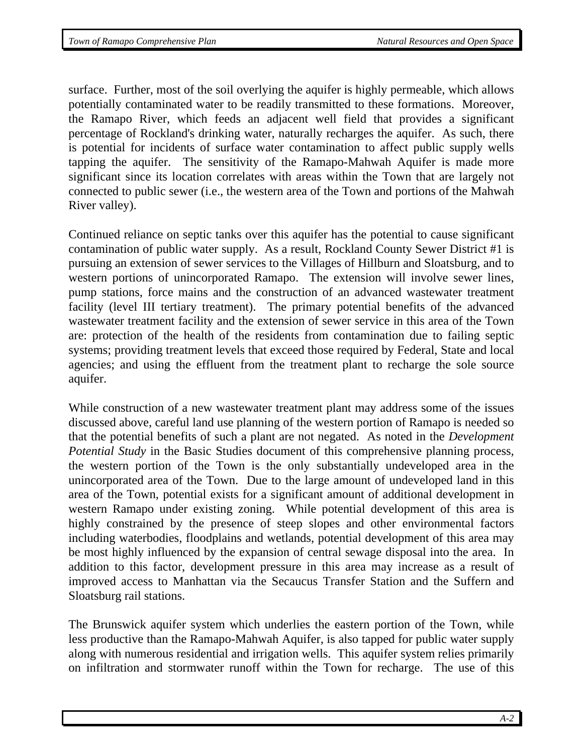surface. Further, most of the soil overlying the aquifer is highly permeable, which allows potentially contaminated water to be readily transmitted to these formations. Moreover, the Ramapo River, which feeds an adjacent well field that provides a significant percentage of Rockland's drinking water, naturally recharges the aquifer. As such, there is potential for incidents of surface water contamination to affect public supply wells tapping the aquifer. The sensitivity of the Ramapo-Mahwah Aquifer is made more significant since its location correlates with areas within the Town that are largely not connected to public sewer (i.e., the western area of the Town and portions of the Mahwah River valley).

Continued reliance on septic tanks over this aquifer has the potential to cause significant contamination of public water supply. As a result, Rockland County Sewer District #1 is pursuing an extension of sewer services to the Villages of Hillburn and Sloatsburg, and to western portions of unincorporated Ramapo. The extension will involve sewer lines, pump stations, force mains and the construction of an advanced wastewater treatment facility (level III tertiary treatment). The primary potential benefits of the advanced wastewater treatment facility and the extension of sewer service in this area of the Town are: protection of the health of the residents from contamination due to failing septic systems; providing treatment levels that exceed those required by Federal, State and local agencies; and using the effluent from the treatment plant to recharge the sole source aquifer.

While construction of a new wastewater treatment plant may address some of the issues discussed above, careful land use planning of the western portion of Ramapo is needed so that the potential benefits of such a plant are not negated. As noted in the *Development Potential Study* in the Basic Studies document of this comprehensive planning process*,*  the western portion of the Town is the only substantially undeveloped area in the unincorporated area of the Town. Due to the large amount of undeveloped land in this area of the Town, potential exists for a significant amount of additional development in western Ramapo under existing zoning. While potential development of this area is highly constrained by the presence of steep slopes and other environmental factors including waterbodies, floodplains and wetlands, potential development of this area may be most highly influenced by the expansion of central sewage disposal into the area. In addition to this factor, development pressure in this area may increase as a result of improved access to Manhattan via the Secaucus Transfer Station and the Suffern and Sloatsburg rail stations.

The Brunswick aquifer system which underlies the eastern portion of the Town, while less productive than the Ramapo-Mahwah Aquifer, is also tapped for public water supply along with numerous residential and irrigation wells. This aquifer system relies primarily on infiltration and stormwater runoff within the Town for recharge. The use of this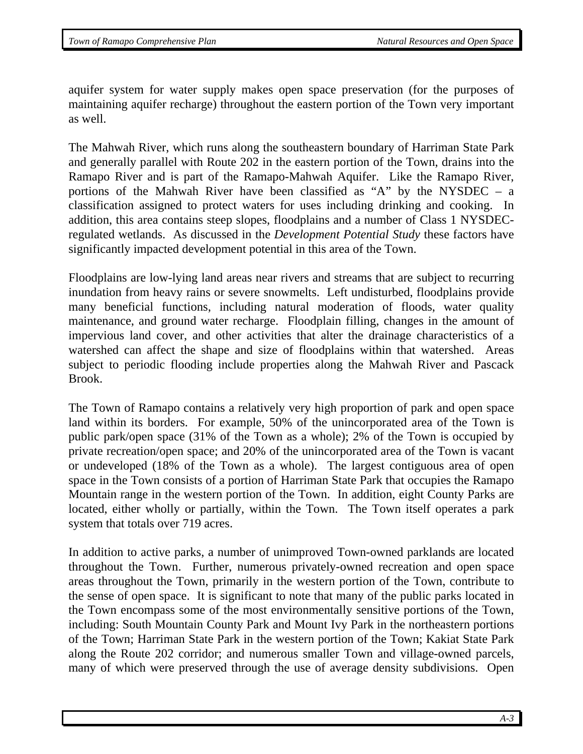aquifer system for water supply makes open space preservation (for the purposes of maintaining aquifer recharge) throughout the eastern portion of the Town very important as well.

The Mahwah River, which runs along the southeastern boundary of Harriman State Park and generally parallel with Route 202 in the eastern portion of the Town, drains into the Ramapo River and is part of the Ramapo-Mahwah Aquifer. Like the Ramapo River, portions of the Mahwah River have been classified as "A" by the NYSDEC – a classification assigned to protect waters for uses including drinking and cooking. In addition, this area contains steep slopes, floodplains and a number of Class 1 NYSDECregulated wetlands. As discussed in the *Development Potential Study* these factors have significantly impacted development potential in this area of the Town.

Floodplains are low-lying land areas near rivers and streams that are subject to recurring inundation from heavy rains or severe snowmelts. Left undisturbed, floodplains provide many beneficial functions, including natural moderation of floods, water quality maintenance, and ground water recharge. Floodplain filling, changes in the amount of impervious land cover, and other activities that alter the drainage characteristics of a watershed can affect the shape and size of floodplains within that watershed. Areas subject to periodic flooding include properties along the Mahwah River and Pascack Brook.

The Town of Ramapo contains a relatively very high proportion of park and open space land within its borders. For example, 50% of the unincorporated area of the Town is public park/open space (31% of the Town as a whole); 2% of the Town is occupied by private recreation/open space; and 20% of the unincorporated area of the Town is vacant or undeveloped (18% of the Town as a whole). The largest contiguous area of open space in the Town consists of a portion of Harriman State Park that occupies the Ramapo Mountain range in the western portion of the Town. In addition, eight County Parks are located, either wholly or partially, within the Town. The Town itself operates a park system that totals over 719 acres.

In addition to active parks, a number of unimproved Town-owned parklands are located throughout the Town. Further, numerous privately-owned recreation and open space areas throughout the Town, primarily in the western portion of the Town, contribute to the sense of open space. It is significant to note that many of the public parks located in the Town encompass some of the most environmentally sensitive portions of the Town, including: South Mountain County Park and Mount Ivy Park in the northeastern portions of the Town; Harriman State Park in the western portion of the Town; Kakiat State Park along the Route 202 corridor; and numerous smaller Town and village-owned parcels, many of which were preserved through the use of average density subdivisions. Open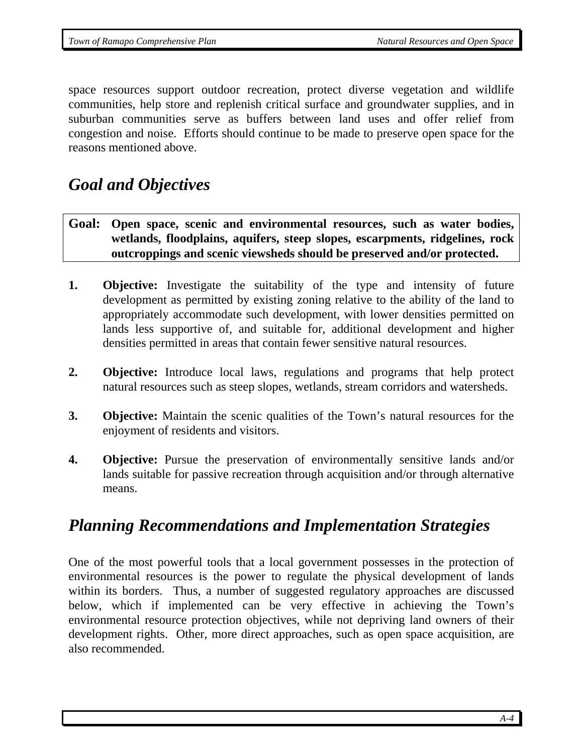space resources support outdoor recreation, protect diverse vegetation and wildlife communities, help store and replenish critical surface and groundwater supplies, and in suburban communities serve as buffers between land uses and offer relief from congestion and noise. Efforts should continue to be made to preserve open space for the reasons mentioned above.

## *Goal and Objectives*

- **Goal: Open space, scenic and environmental resources, such as water bodies, wetlands, floodplains, aquifers, steep slopes, escarpments, ridgelines, rock outcroppings and scenic viewsheds should be preserved and/or protected.**
- **1. Objective:** Investigate the suitability of the type and intensity of future development as permitted by existing zoning relative to the ability of the land to appropriately accommodate such development, with lower densities permitted on lands less supportive of, and suitable for, additional development and higher densities permitted in areas that contain fewer sensitive natural resources.
- **2. Objective:** Introduce local laws, regulations and programs that help protect natural resources such as steep slopes, wetlands, stream corridors and watersheds.
- **3. Objective:** Maintain the scenic qualities of the Town's natural resources for the enjoyment of residents and visitors.
- **4. Objective:** Pursue the preservation of environmentally sensitive lands and/or lands suitable for passive recreation through acquisition and/or through alternative means.

# *Planning Recommendations and Implementation Strategies*

One of the most powerful tools that a local government possesses in the protection of environmental resources is the power to regulate the physical development of lands within its borders. Thus, a number of suggested regulatory approaches are discussed below, which if implemented can be very effective in achieving the Town's environmental resource protection objectives, while not depriving land owners of their development rights. Other, more direct approaches, such as open space acquisition, are also recommended.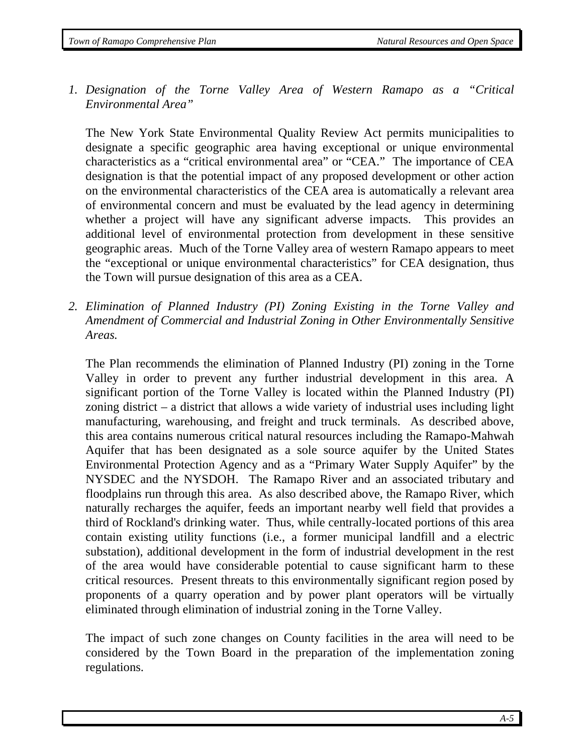*1. Designation of the Torne Valley Area of Western Ramapo as a "Critical Environmental Area"*

The New York State Environmental Quality Review Act permits municipalities to designate a specific geographic area having exceptional or unique environmental characteristics as a "critical environmental area" or "CEA." The importance of CEA designation is that the potential impact of any proposed development or other action on the environmental characteristics of the CEA area is automatically a relevant area of environmental concern and must be evaluated by the lead agency in determining whether a project will have any significant adverse impacts. This provides an additional level of environmental protection from development in these sensitive geographic areas. Much of the Torne Valley area of western Ramapo appears to meet the "exceptional or unique environmental characteristics" for CEA designation, thus the Town will pursue designation of this area as a CEA.

*2. Elimination of Planned Industry (PI) Zoning Existing in the Torne Valley and Amendment of Commercial and Industrial Zoning in Other Environmentally Sensitive Areas.* 

The Plan recommends the elimination of Planned Industry (PI) zoning in the Torne Valley in order to prevent any further industrial development in this area. A significant portion of the Torne Valley is located within the Planned Industry (PI) zoning district – a district that allows a wide variety of industrial uses including light manufacturing, warehousing, and freight and truck terminals. As described above, this area contains numerous critical natural resources including the Ramapo-Mahwah Aquifer that has been designated as a sole source aquifer by the United States Environmental Protection Agency and as a "Primary Water Supply Aquifer" by the NYSDEC and the NYSDOH. The Ramapo River and an associated tributary and floodplains run through this area. As also described above, the Ramapo River, which naturally recharges the aquifer, feeds an important nearby well field that provides a third of Rockland's drinking water. Thus, while centrally-located portions of this area contain existing utility functions (i.e., a former municipal landfill and a electric substation), additional development in the form of industrial development in the rest of the area would have considerable potential to cause significant harm to these critical resources. Present threats to this environmentally significant region posed by proponents of a quarry operation and by power plant operators will be virtually eliminated through elimination of industrial zoning in the Torne Valley.

The impact of such zone changes on County facilities in the area will need to be considered by the Town Board in the preparation of the implementation zoning regulations.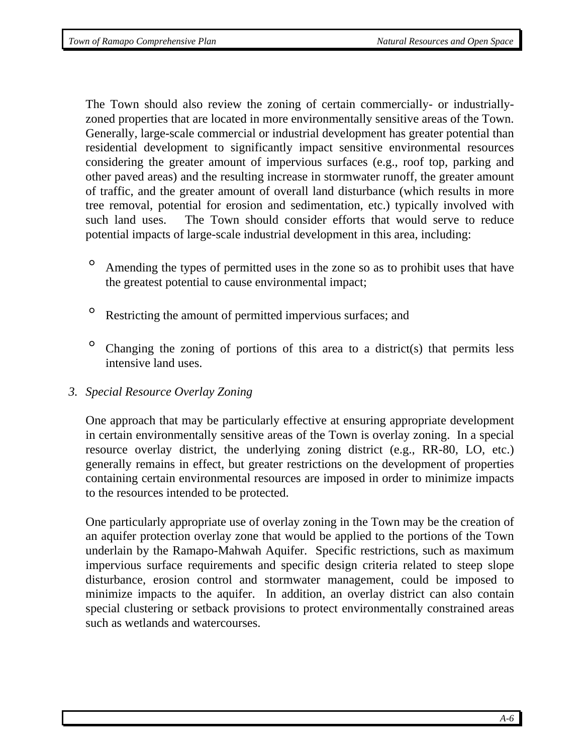The Town should also review the zoning of certain commercially- or industriallyzoned properties that are located in more environmentally sensitive areas of the Town. Generally, large-scale commercial or industrial development has greater potential than residential development to significantly impact sensitive environmental resources considering the greater amount of impervious surfaces (e.g., roof top, parking and other paved areas) and the resulting increase in stormwater runoff, the greater amount of traffic, and the greater amount of overall land disturbance (which results in more tree removal, potential for erosion and sedimentation, etc.) typically involved with such land uses. The Town should consider efforts that would serve to reduce potential impacts of large-scale industrial development in this area, including:

- ° Amending the types of permitted uses in the zone so as to prohibit uses that have the greatest potential to cause environmental impact;
- ° Restricting the amount of permitted impervious surfaces; and
- ° Changing the zoning of portions of this area to a district(s) that permits less intensive land uses.
- *3. Special Resource Overlay Zoning*

One approach that may be particularly effective at ensuring appropriate development in certain environmentally sensitive areas of the Town is overlay zoning. In a special resource overlay district, the underlying zoning district (e.g., RR-80, LO, etc.) generally remains in effect, but greater restrictions on the development of properties containing certain environmental resources are imposed in order to minimize impacts to the resources intended to be protected.

One particularly appropriate use of overlay zoning in the Town may be the creation of an aquifer protection overlay zone that would be applied to the portions of the Town underlain by the Ramapo-Mahwah Aquifer. Specific restrictions, such as maximum impervious surface requirements and specific design criteria related to steep slope disturbance, erosion control and stormwater management, could be imposed to minimize impacts to the aquifer. In addition, an overlay district can also contain special clustering or setback provisions to protect environmentally constrained areas such as wetlands and watercourses.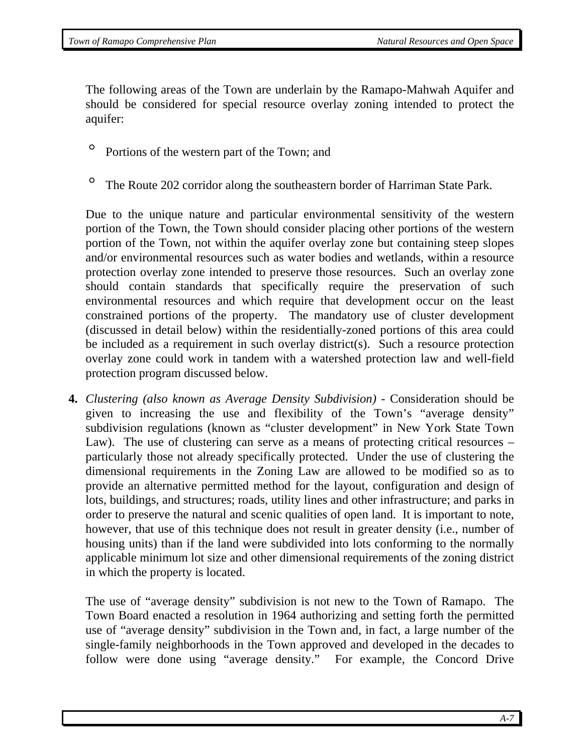The following areas of the Town are underlain by the Ramapo-Mahwah Aquifer and should be considered for special resource overlay zoning intended to protect the aquifer:

- ° Portions of the western part of the Town; and
- ° The Route 202 corridor along the southeastern border of Harriman State Park.

Due to the unique nature and particular environmental sensitivity of the western portion of the Town, the Town should consider placing other portions of the western portion of the Town, not within the aquifer overlay zone but containing steep slopes and/or environmental resources such as water bodies and wetlands, within a resource protection overlay zone intended to preserve those resources. Such an overlay zone should contain standards that specifically require the preservation of such environmental resources and which require that development occur on the least constrained portions of the property. The mandatory use of cluster development (discussed in detail below) within the residentially-zoned portions of this area could be included as a requirement in such overlay district(s). Such a resource protection overlay zone could work in tandem with a watershed protection law and well-field protection program discussed below.

**4.** *Clustering (also known as Average Density Subdivision)* - Consideration should be given to increasing the use and flexibility of the Town's "average density" subdivision regulations (known as "cluster development" in New York State Town Law). The use of clustering can serve as a means of protecting critical resources – particularly those not already specifically protected. Under the use of clustering the dimensional requirements in the Zoning Law are allowed to be modified so as to provide an alternative permitted method for the layout, configuration and design of lots, buildings, and structures; roads, utility lines and other infrastructure; and parks in order to preserve the natural and scenic qualities of open land. It is important to note, however, that use of this technique does not result in greater density (i.e., number of housing units) than if the land were subdivided into lots conforming to the normally applicable minimum lot size and other dimensional requirements of the zoning district in which the property is located.

The use of "average density" subdivision is not new to the Town of Ramapo. The Town Board enacted a resolution in 1964 authorizing and setting forth the permitted use of "average density" subdivision in the Town and, in fact, a large number of the single-family neighborhoods in the Town approved and developed in the decades to follow were done using "average density." For example, the Concord Drive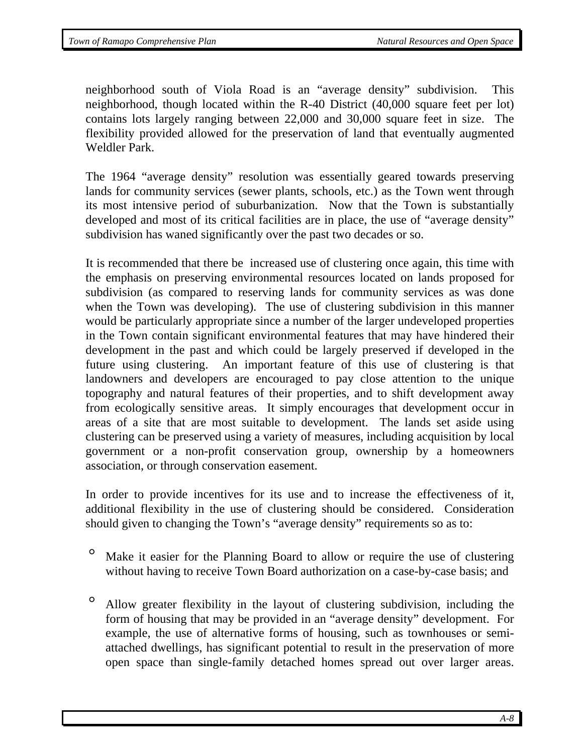neighborhood south of Viola Road is an "average density" subdivision. This neighborhood, though located within the R-40 District (40,000 square feet per lot) contains lots largely ranging between 22,000 and 30,000 square feet in size. The flexibility provided allowed for the preservation of land that eventually augmented Weldler Park.

The 1964 "average density" resolution was essentially geared towards preserving lands for community services (sewer plants, schools, etc.) as the Town went through its most intensive period of suburbanization. Now that the Town is substantially developed and most of its critical facilities are in place, the use of "average density" subdivision has waned significantly over the past two decades or so.

It is recommended that there be increased use of clustering once again, this time with the emphasis on preserving environmental resources located on lands proposed for subdivision (as compared to reserving lands for community services as was done when the Town was developing). The use of clustering subdivision in this manner would be particularly appropriate since a number of the larger undeveloped properties in the Town contain significant environmental features that may have hindered their development in the past and which could be largely preserved if developed in the future using clustering. An important feature of this use of clustering is that landowners and developers are encouraged to pay close attention to the unique topography and natural features of their properties, and to shift development away from ecologically sensitive areas. It simply encourages that development occur in areas of a site that are most suitable to development. The lands set aside using clustering can be preserved using a variety of measures, including acquisition by local government or a non-profit conservation group, ownership by a homeowners association, or through conservation easement.

In order to provide incentives for its use and to increase the effectiveness of it, additional flexibility in the use of clustering should be considered. Consideration should given to changing the Town's "average density" requirements so as to:

- ° Make it easier for the Planning Board to allow or require the use of clustering without having to receive Town Board authorization on a case-by-case basis; and
- ° Allow greater flexibility in the layout of clustering subdivision, including the form of housing that may be provided in an "average density" development. For example, the use of alternative forms of housing, such as townhouses or semiattached dwellings, has significant potential to result in the preservation of more open space than single-family detached homes spread out over larger areas.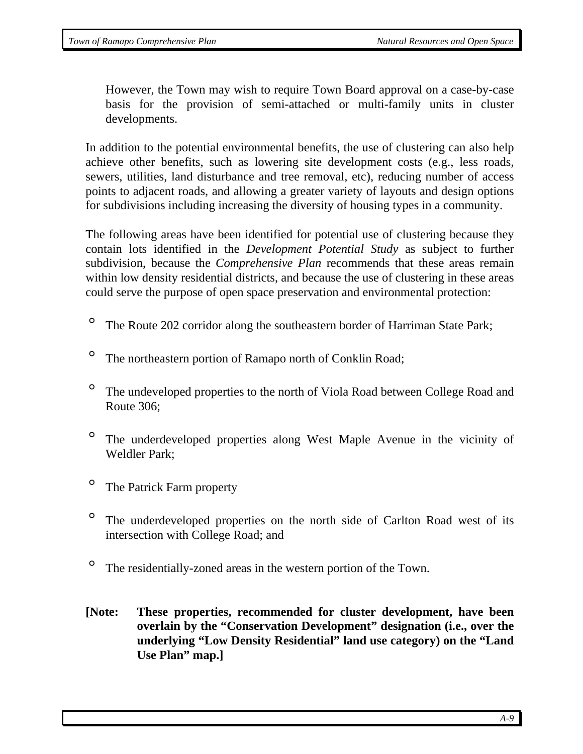However, the Town may wish to require Town Board approval on a case-by-case basis for the provision of semi-attached or multi-family units in cluster developments.

In addition to the potential environmental benefits, the use of clustering can also help achieve other benefits, such as lowering site development costs (e.g., less roads, sewers, utilities, land disturbance and tree removal, etc), reducing number of access points to adjacent roads, and allowing a greater variety of layouts and design options for subdivisions including increasing the diversity of housing types in a community.

The following areas have been identified for potential use of clustering because they contain lots identified in the *Development Potential Study* as subject to further subdivision, because the *Comprehensive Plan* recommends that these areas remain within low density residential districts, and because the use of clustering in these areas could serve the purpose of open space preservation and environmental protection:

- <sup>o</sup> The Route 202 corridor along the southeastern border of Harriman State Park;
- <sup>o</sup> The northeastern portion of Ramapo north of Conklin Road;
- <sup>o</sup> The undeveloped properties to the north of Viola Road between College Road and Route 306;
- ° The underdeveloped properties along West Maple Avenue in the vicinity of Weldler Park;
- ° The Patrick Farm property
- ° The underdeveloped properties on the north side of Carlton Road west of its intersection with College Road; and
- ° The residentially-zoned areas in the western portion of the Town.
- **[Note: These properties, recommended for cluster development, have been overlain by the "Conservation Development" designation (i.e., over the underlying "Low Density Residential" land use category) on the "Land Use Plan" map.]**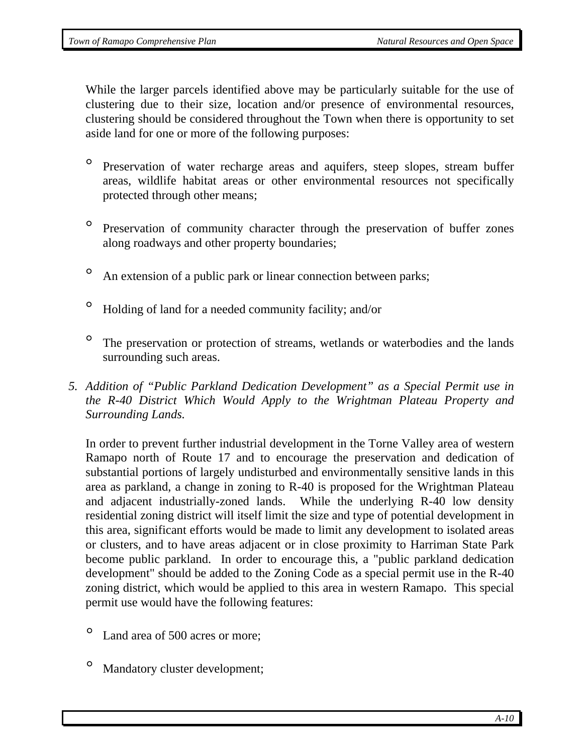While the larger parcels identified above may be particularly suitable for the use of clustering due to their size, location and/or presence of environmental resources, clustering should be considered throughout the Town when there is opportunity to set aside land for one or more of the following purposes:

- ° Preservation of water recharge areas and aquifers, steep slopes, stream buffer areas, wildlife habitat areas or other environmental resources not specifically protected through other means;
- ° Preservation of community character through the preservation of buffer zones along roadways and other property boundaries;
- <sup>o</sup> An extension of a public park or linear connection between parks;
- ° Holding of land for a needed community facility; and/or
- <sup>o</sup> The preservation or protection of streams, wetlands or waterbodies and the lands surrounding such areas.
- *5. Addition of "Public Parkland Dedication Development" as a Special Permit use in the R-40 District Which Would Apply to the Wrightman Plateau Property and Surrounding Lands.*

In order to prevent further industrial development in the Torne Valley area of western Ramapo north of Route 17 and to encourage the preservation and dedication of substantial portions of largely undisturbed and environmentally sensitive lands in this area as parkland, a change in zoning to R-40 is proposed for the Wrightman Plateau and adjacent industrially-zoned lands. While the underlying R-40 low density residential zoning district will itself limit the size and type of potential development in this area, significant efforts would be made to limit any development to isolated areas or clusters, and to have areas adjacent or in close proximity to Harriman State Park become public parkland. In order to encourage this, a "public parkland dedication development" should be added to the Zoning Code as a special permit use in the R-40 zoning district, which would be applied to this area in western Ramapo. This special permit use would have the following features:

- *°* Land area of 500 acres or more;
- *°* Mandatory cluster development;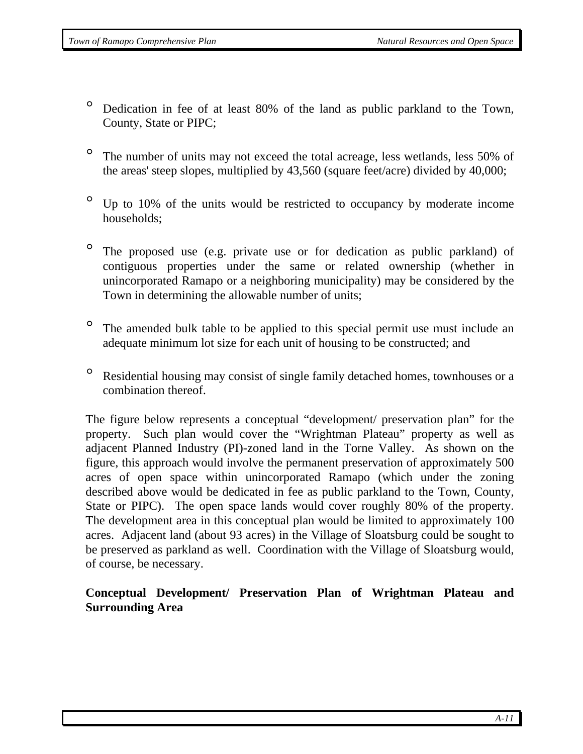- *°* Dedication in fee of at least 80% of the land as public parkland to the Town, County, State or PIPC;
- *°* The number of units may not exceed the total acreage, less wetlands, less 50% of the areas' steep slopes, multiplied by 43,560 (square feet/acre) divided by 40,000;
- *°* Up to 10% of the units would be restricted to occupancy by moderate income households;
- *°* The proposed use (e.g. private use or for dedication as public parkland) of contiguous properties under the same or related ownership (whether in unincorporated Ramapo or a neighboring municipality) may be considered by the Town in determining the allowable number of units;
- *°* The amended bulk table to be applied to this special permit use must include an adequate minimum lot size for each unit of housing to be constructed; and
- *°* Residential housing may consist of single family detached homes, townhouses or a combination thereof.

The figure below represents a conceptual "development/ preservation plan" for the property. Such plan would cover the "Wrightman Plateau" property as well as adjacent Planned Industry (PI)-zoned land in the Torne Valley. As shown on the figure, this approach would involve the permanent preservation of approximately 500 acres of open space within unincorporated Ramapo (which under the zoning described above would be dedicated in fee as public parkland to the Town, County, State or PIPC). The open space lands would cover roughly 80% of the property. The development area in this conceptual plan would be limited to approximately 100 acres. Adjacent land (about 93 acres) in the Village of Sloatsburg could be sought to be preserved as parkland as well. Coordination with the Village of Sloatsburg would, of course, be necessary.

## **Conceptual Development/ Preservation Plan of Wrightman Plateau and Surrounding Area**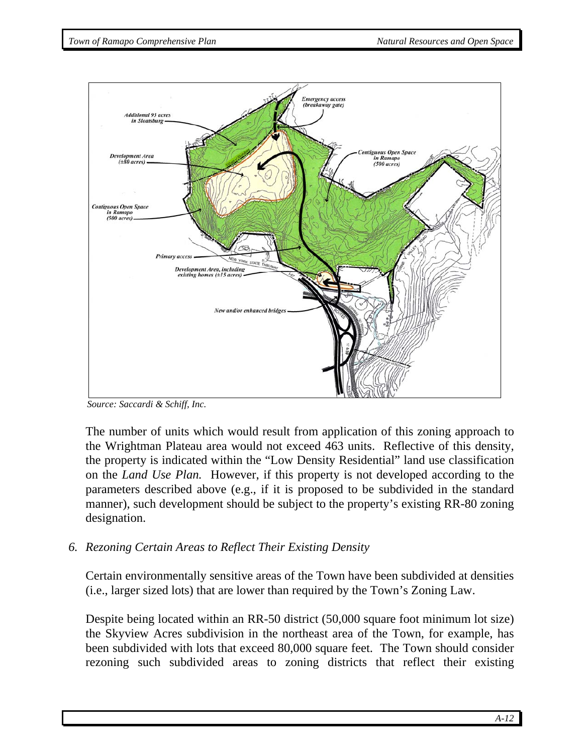

*Source: Saccardi & Schiff, Inc.* 

The number of units which would result from application of this zoning approach to the Wrightman Plateau area would not exceed 463 units. Reflective of this density, the property is indicated within the "Low Density Residential" land use classification on the *Land Use Plan.* However, if this property is not developed according to the parameters described above (e.g., if it is proposed to be subdivided in the standard manner), such development should be subject to the property's existing RR-80 zoning designation.

*6. Rezoning Certain Areas to Reflect Their Existing Density* 

Certain environmentally sensitive areas of the Town have been subdivided at densities (i.e., larger sized lots) that are lower than required by the Town's Zoning Law.

Despite being located within an RR-50 district (50,000 square foot minimum lot size) the Skyview Acres subdivision in the northeast area of the Town, for example, has been subdivided with lots that exceed 80,000 square feet. The Town should consider rezoning such subdivided areas to zoning districts that reflect their existing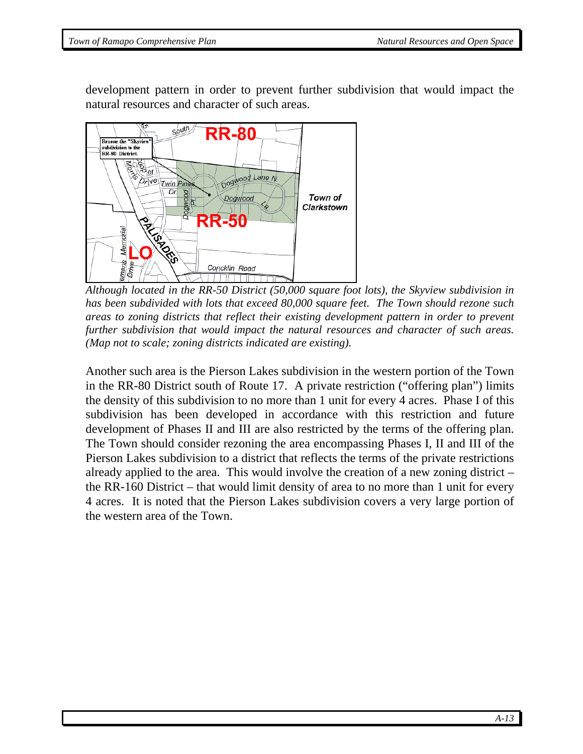development pattern in order to prevent further subdivision that would impact the natural resources and character of such areas.



*Although located in the RR-50 District (50,000 square foot lots), the Skyview subdivision in has been subdivided with lots that exceed 80,000 square feet. The Town should rezone such areas to zoning districts that reflect their existing development pattern in order to prevent further subdivision that would impact the natural resources and character of such areas. (Map not to scale; zoning districts indicated are existing).* 

Another such area is the Pierson Lakes subdivision in the western portion of the Town in the RR-80 District south of Route 17. A private restriction ("offering plan") limits the density of this subdivision to no more than 1 unit for every 4 acres. Phase I of this subdivision has been developed in accordance with this restriction and future development of Phases II and III are also restricted by the terms of the offering plan. The Town should consider rezoning the area encompassing Phases I, II and III of the Pierson Lakes subdivision to a district that reflects the terms of the private restrictions already applied to the area. This would involve the creation of a new zoning district – the RR-160 District – that would limit density of area to no more than 1 unit for every 4 acres. It is noted that the Pierson Lakes subdivision covers a very large portion of the western area of the Town.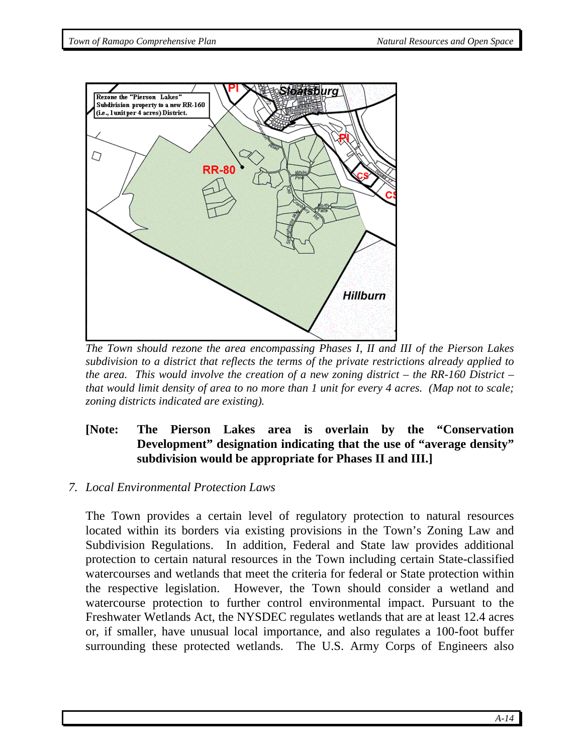

*The Town should rezone the area encompassing Phases I, II and III of the Pierson Lakes subdivision to a district that reflects the terms of the private restrictions already applied to the area. This would involve the creation of a new zoning district – the RR-160 District – that would limit density of area to no more than 1 unit for every 4 acres. (Map not to scale; zoning districts indicated are existing).* 

## **[Note: The Pierson Lakes area is overlain by the "Conservation Development" designation indicating that the use of "average density" subdivision would be appropriate for Phases II and III.]**

#### *7. Local Environmental Protection Laws*

The Town provides a certain level of regulatory protection to natural resources located within its borders via existing provisions in the Town's Zoning Law and Subdivision Regulations. In addition, Federal and State law provides additional protection to certain natural resources in the Town including certain State-classified watercourses and wetlands that meet the criteria for federal or State protection within the respective legislation. However, the Town should consider a wetland and watercourse protection to further control environmental impact. Pursuant to the Freshwater Wetlands Act, the NYSDEC regulates wetlands that are at least 12.4 acres or, if smaller, have unusual local importance, and also regulates a 100-foot buffer surrounding these protected wetlands. The U.S. Army Corps of Engineers also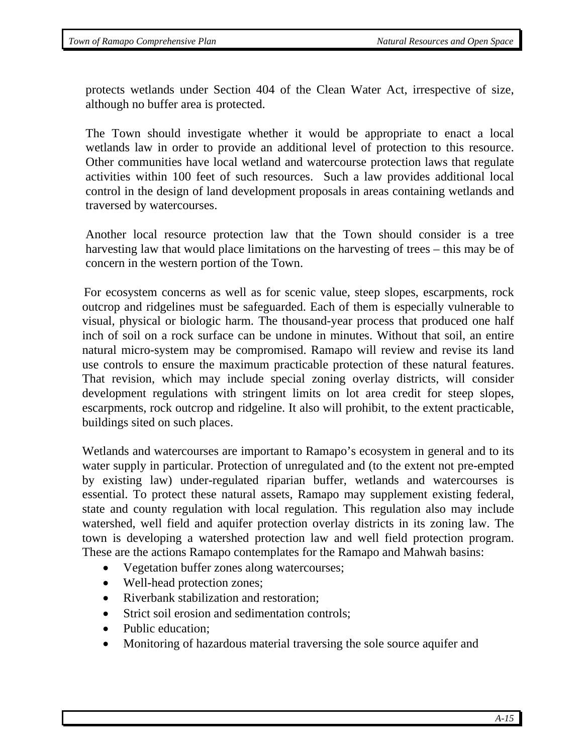protects wetlands under Section 404 of the Clean Water Act, irrespective of size, although no buffer area is protected.

The Town should investigate whether it would be appropriate to enact a local wetlands law in order to provide an additional level of protection to this resource. Other communities have local wetland and watercourse protection laws that regulate activities within 100 feet of such resources. Such a law provides additional local control in the design of land development proposals in areas containing wetlands and traversed by watercourses.

 Another local resource protection law that the Town should consider is a tree harvesting law that would place limitations on the harvesting of trees – this may be of concern in the western portion of the Town.

 For ecosystem concerns as well as for scenic value, steep slopes, escarpments, rock outcrop and ridgelines must be safeguarded. Each of them is especially vulnerable to visual, physical or biologic harm. The thousand-year process that produced one half inch of soil on a rock surface can be undone in minutes. Without that soil, an entire natural micro-system may be compromised. Ramapo will review and revise its land use controls to ensure the maximum practicable protection of these natural features. That revision, which may include special zoning overlay districts, will consider development regulations with stringent limits on lot area credit for steep slopes, escarpments, rock outcrop and ridgeline. It also will prohibit, to the extent practicable, buildings sited on such places.

Wetlands and watercourses are important to Ramapo's ecosystem in general and to its water supply in particular. Protection of unregulated and (to the extent not pre-empted by existing law) under-regulated riparian buffer, wetlands and watercourses is essential. To protect these natural assets, Ramapo may supplement existing federal, state and county regulation with local regulation. This regulation also may include watershed, well field and aquifer protection overlay districts in its zoning law. The town is developing a watershed protection law and well field protection program. These are the actions Ramapo contemplates for the Ramapo and Mahwah basins:

- Vegetation buffer zones along watercourses;
- Well-head protection zones;
- Riverbank stabilization and restoration:
- Strict soil erosion and sedimentation controls;
- Public education:
- Monitoring of hazardous material traversing the sole source aquifer and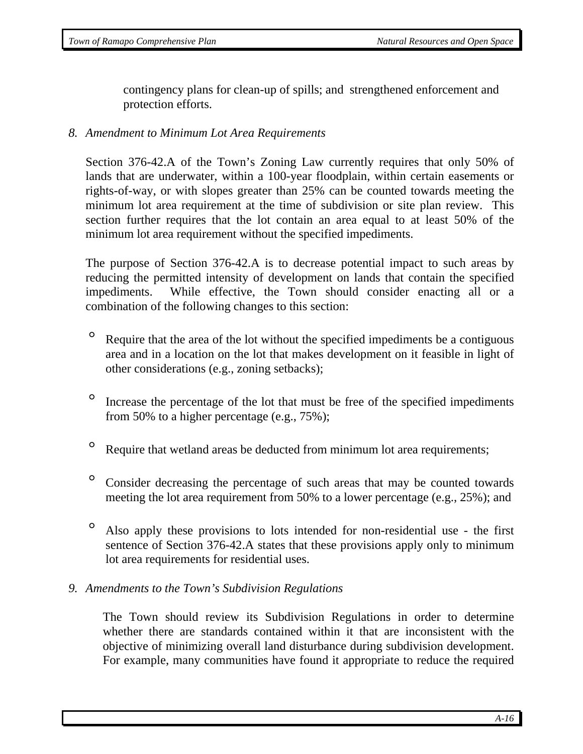contingency plans for clean-up of spills; and strengthened enforcement and protection efforts.

#### *8. Amendment to Minimum Lot Area Requirements*

Section 376-42.A of the Town's Zoning Law currently requires that only 50% of lands that are underwater, within a 100-year floodplain, within certain easements or rights-of-way, or with slopes greater than 25% can be counted towards meeting the minimum lot area requirement at the time of subdivision or site plan review. This section further requires that the lot contain an area equal to at least 50% of the minimum lot area requirement without the specified impediments.

The purpose of Section 376-42.A is to decrease potential impact to such areas by reducing the permitted intensity of development on lands that contain the specified impediments. While effective, the Town should consider enacting all or a combination of the following changes to this section:

- ° Require that the area of the lot without the specified impediments be a contiguous area and in a location on the lot that makes development on it feasible in light of other considerations (e.g., zoning setbacks);
- ° Increase the percentage of the lot that must be free of the specified impediments from 50% to a higher percentage (e.g., 75%);
- <sup>o</sup> Require that wetland areas be deducted from minimum lot area requirements;
- ° Consider decreasing the percentage of such areas that may be counted towards meeting the lot area requirement from 50% to a lower percentage (e.g., 25%); and
- ° Also apply these provisions to lots intended for non-residential use the first sentence of Section 376-42.A states that these provisions apply only to minimum lot area requirements for residential uses.

#### *9. Amendments to the Town's Subdivision Regulations*

The Town should review its Subdivision Regulations in order to determine whether there are standards contained within it that are inconsistent with the objective of minimizing overall land disturbance during subdivision development. For example, many communities have found it appropriate to reduce the required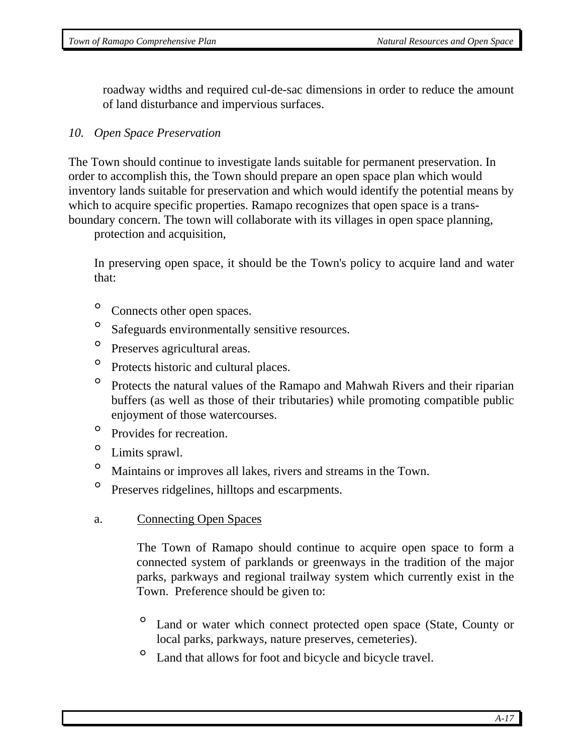roadway widths and required cul-de-sac dimensions in order to reduce the amount of land disturbance and impervious surfaces.

## *10. Open Space Preservation*

The Town should continue to investigate lands suitable for permanent preservation. In order to accomplish this, the Town should prepare an open space plan which would inventory lands suitable for preservation and which would identify the potential means by which to acquire specific properties. Ramapo recognizes that open space is a transboundary concern. The town will collaborate with its villages in open space planning,

protection and acquisition,

In preserving open space, it should be the Town's policy to acquire land and water that:

- ° Connects other open spaces.
- ° Safeguards environmentally sensitive resources.
- ° Preserves agricultural areas.
- ° Protects historic and cultural places.
- ° Protects the natural values of the Ramapo and Mahwah Rivers and their riparian buffers (as well as those of their tributaries) while promoting compatible public enjoyment of those watercourses.
- ° Provides for recreation.
- ° Limits sprawl.
- ° Maintains or improves all lakes, rivers and streams in the Town.
- ° Preserves ridgelines, hilltops and escarpments.
- a. Connecting Open Spaces

 The Town of Ramapo should continue to acquire open space to form a connected system of parklands or greenways in the tradition of the major parks, parkways and regional trailway system which currently exist in the Town. Preference should be given to:

- Land or water which connect protected open space (State, County or local parks, parkways, nature preserves, cemeteries).
- ° Land that allows for foot and bicycle and bicycle travel.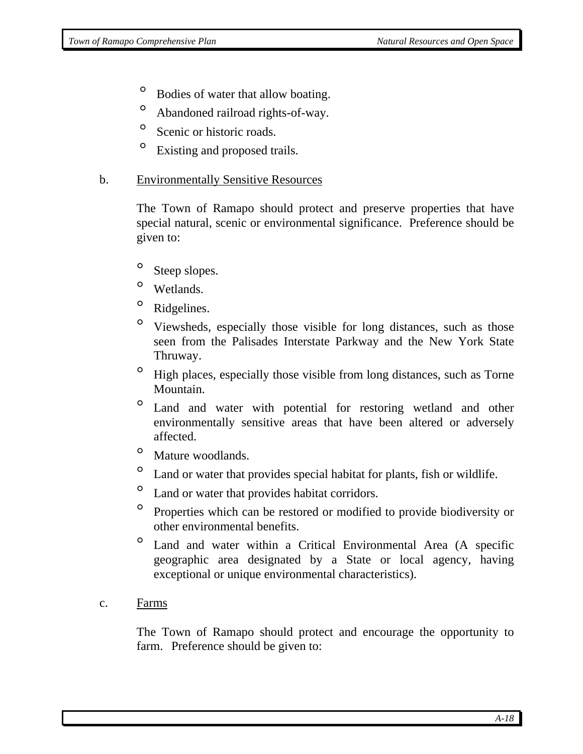- ° Bodies of water that allow boating.
- ° Abandoned railroad rights-of-way.
- <sup>o</sup> Scenic or historic roads.
- <sup>o</sup> Existing and proposed trails.

#### b. Environmentally Sensitive Resources

 The Town of Ramapo should protect and preserve properties that have special natural, scenic or environmental significance. Preference should be given to:

- <sup>o</sup> Steep slopes.
- ° Wetlands.
- <sup>o</sup> Ridgelines.
- ° Viewsheds, especially those visible for long distances, such as those seen from the Palisades Interstate Parkway and the New York State Thruway.
- ° High places, especially those visible from long distances, such as Torne Mountain.
- ° Land and water with potential for restoring wetland and other environmentally sensitive areas that have been altered or adversely affected.
- ° Mature woodlands.
- ° Land or water that provides special habitat for plants, fish or wildlife.
- ° Land or water that provides habitat corridors.
- ° Properties which can be restored or modified to provide biodiversity or other environmental benefits.
- Land and water within a Critical Environmental Area (A specific geographic area designated by a State or local agency, having exceptional or unique environmental characteristics).
- c. Farms

 The Town of Ramapo should protect and encourage the opportunity to farm. Preference should be given to: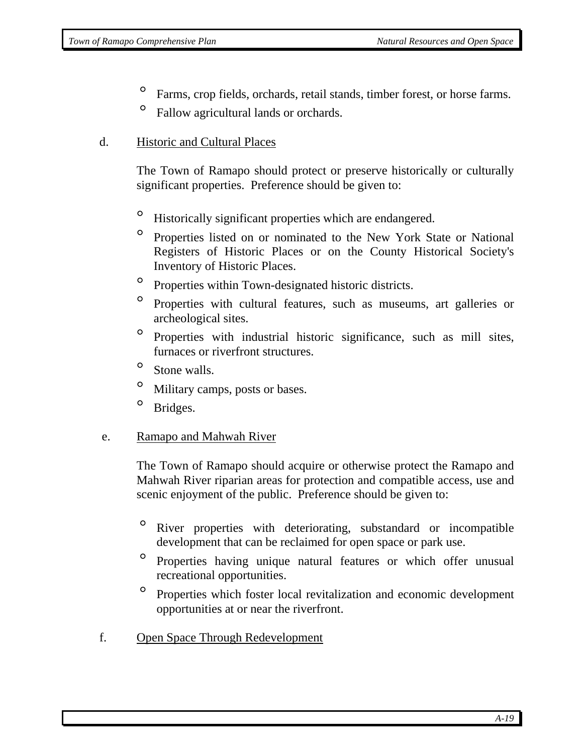- ° Farms, crop fields, orchards, retail stands, timber forest, or horse farms.
- ° Fallow agricultural lands or orchards.

### d. Historic and Cultural Places

The Town of Ramapo should protect or preserve historically or culturally significant properties. Preference should be given to:

- ° Historically significant properties which are endangered.
- ° Properties listed on or nominated to the New York State or National Registers of Historic Places or on the County Historical Society's Inventory of Historic Places.
- ° Properties within Town-designated historic districts.
- ° Properties with cultural features, such as museums, art galleries or archeological sites.
- ° Properties with industrial historic significance, such as mill sites, furnaces or riverfront structures.
- ° Stone walls.
- ° Military camps, posts or bases.
- <sup>o</sup> Bridges.

### e. Ramapo and Mahwah River

The Town of Ramapo should acquire or otherwise protect the Ramapo and Mahwah River riparian areas for protection and compatible access, use and scenic enjoyment of the public. Preference should be given to:

- ° River properties with deteriorating, substandard or incompatible development that can be reclaimed for open space or park use.
- ° Properties having unique natural features or which offer unusual recreational opportunities.
- Properties which foster local revitalization and economic development opportunities at or near the riverfront.
- f. Open Space Through Redevelopment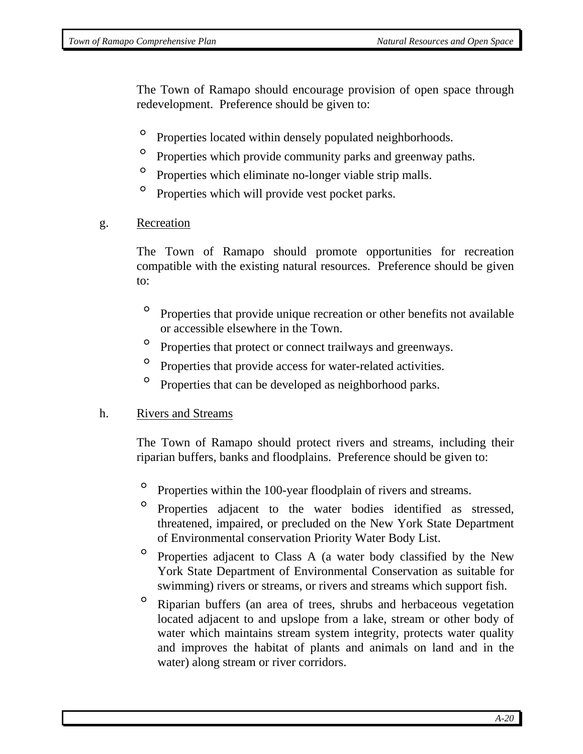The Town of Ramapo should encourage provision of open space through redevelopment. Preference should be given to:

- ° Properties located within densely populated neighborhoods.
- <sup>o</sup> Properties which provide community parks and greenway paths.
- <sup>o</sup> Properties which eliminate no-longer viable strip malls.
- ° Properties which will provide vest pocket parks.
- g. Recreation

 The Town of Ramapo should promote opportunities for recreation compatible with the existing natural resources. Preference should be given to:

- ° Properties that provide unique recreation or other benefits not available or accessible elsewhere in the Town.
- ° Properties that protect or connect trailways and greenways.
- ° Properties that provide access for water-related activities.
- ° Properties that can be developed as neighborhood parks.

#### h. Rivers and Streams

The Town of Ramapo should protect rivers and streams, including their riparian buffers, banks and floodplains. Preference should be given to:

- ° Properties within the 100-year floodplain of rivers and streams.
- Properties adjacent to the water bodies identified as stressed, threatened, impaired, or precluded on the New York State Department of Environmental conservation Priority Water Body List.
- ° Properties adjacent to Class A (a water body classified by the New York State Department of Environmental Conservation as suitable for swimming) rivers or streams, or rivers and streams which support fish.
- ° Riparian buffers (an area of trees, shrubs and herbaceous vegetation located adjacent to and upslope from a lake, stream or other body of water which maintains stream system integrity, protects water quality and improves the habitat of plants and animals on land and in the water) along stream or river corridors.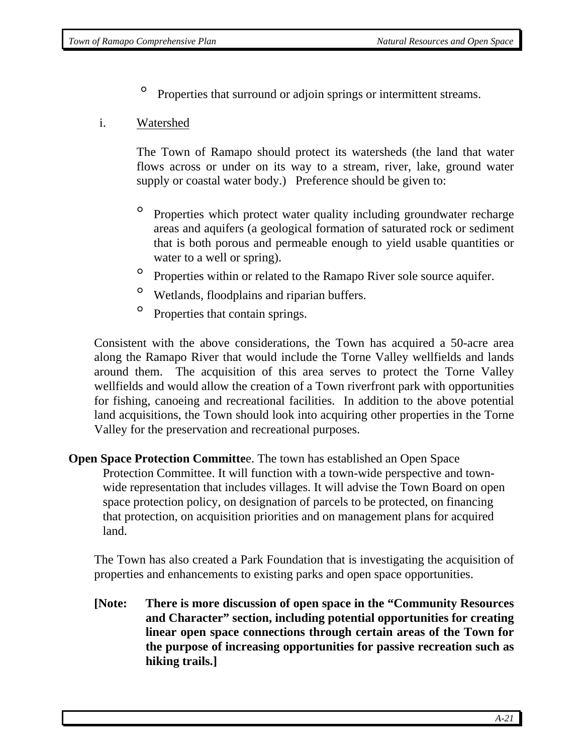° Properties that surround or adjoin springs or intermittent streams.

### i. Watershed

The Town of Ramapo should protect its watersheds (the land that water flows across or under on its way to a stream, river, lake, ground water supply or coastal water body.) Preference should be given to:

- ° Properties which protect water quality including groundwater recharge areas and aquifers (a geological formation of saturated rock or sediment that is both porous and permeable enough to yield usable quantities or water to a well or spring).
- ° Properties within or related to the Ramapo River sole source aquifer.
- ° Wetlands, floodplains and riparian buffers.
- ° Properties that contain springs.

Consistent with the above considerations, the Town has acquired a 50-acre area along the Ramapo River that would include the Torne Valley wellfields and lands around them. The acquisition of this area serves to protect the Torne Valley wellfields and would allow the creation of a Town riverfront park with opportunities for fishing, canoeing and recreational facilities. In addition to the above potential land acquisitions, the Town should look into acquiring other properties in the Torne Valley for the preservation and recreational purposes.

## **Open Space Protection Committe**e. The town has established an Open Space Protection Committee. It will function with a town-wide perspective and townwide representation that includes villages. It will advise the Town Board on open space protection policy, on designation of parcels to be protected, on financing that protection, on acquisition priorities and on management plans for acquired land.

The Town has also created a Park Foundation that is investigating the acquisition of properties and enhancements to existing parks and open space opportunities.

**[Note: There is more discussion of open space in the "Community Resources and Character" section, including potential opportunities for creating linear open space connections through certain areas of the Town for the purpose of increasing opportunities for passive recreation such as hiking trails.]**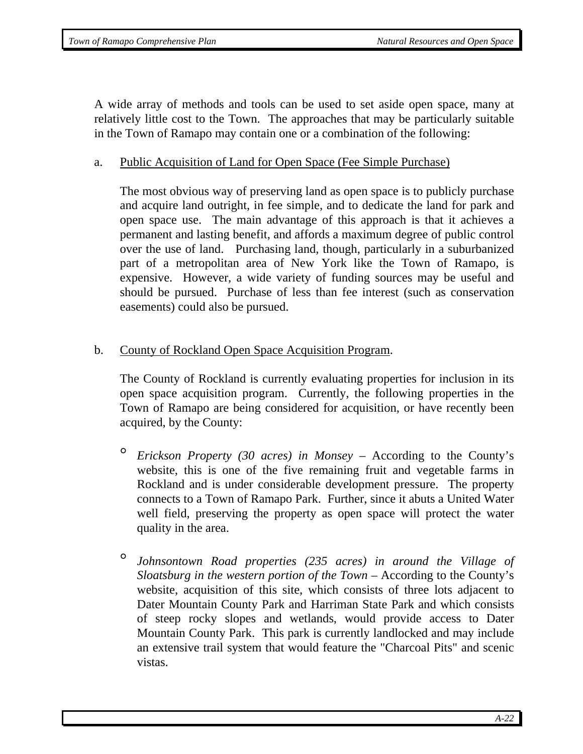A wide array of methods and tools can be used to set aside open space, many at relatively little cost to the Town. The approaches that may be particularly suitable in the Town of Ramapo may contain one or a combination of the following:

#### a. Public Acquisition of Land for Open Space (Fee Simple Purchase)

The most obvious way of preserving land as open space is to publicly purchase and acquire land outright, in fee simple, and to dedicate the land for park and open space use. The main advantage of this approach is that it achieves a permanent and lasting benefit, and affords a maximum degree of public control over the use of land. Purchasing land, though, particularly in a suburbanized part of a metropolitan area of New York like the Town of Ramapo, is expensive. However, a wide variety of funding sources may be useful and should be pursued. Purchase of less than fee interest (such as conservation easements) could also be pursued.

### b. County of Rockland Open Space Acquisition Program.

 The County of Rockland is currently evaluating properties for inclusion in its open space acquisition program. Currently, the following properties in the Town of Ramapo are being considered for acquisition, or have recently been acquired, by the County:

- ° *Erickson Property (30 acres) in Monsey* According to the County's website, this is one of the five remaining fruit and vegetable farms in Rockland and is under considerable development pressure. The property connects to a Town of Ramapo Park. Further, since it abuts a United Water well field, preserving the property as open space will protect the water quality in the area.
- ° *Johnsontown Road properties (235 acres) in around the Village of Sloatsburg in the western portion of the Town* – According to the County's website, acquisition of this site, which consists of three lots adjacent to Dater Mountain County Park and Harriman State Park and which consists of steep rocky slopes and wetlands, would provide access to Dater Mountain County Park. This park is currently landlocked and may include an extensive trail system that would feature the "Charcoal Pits" and scenic vistas.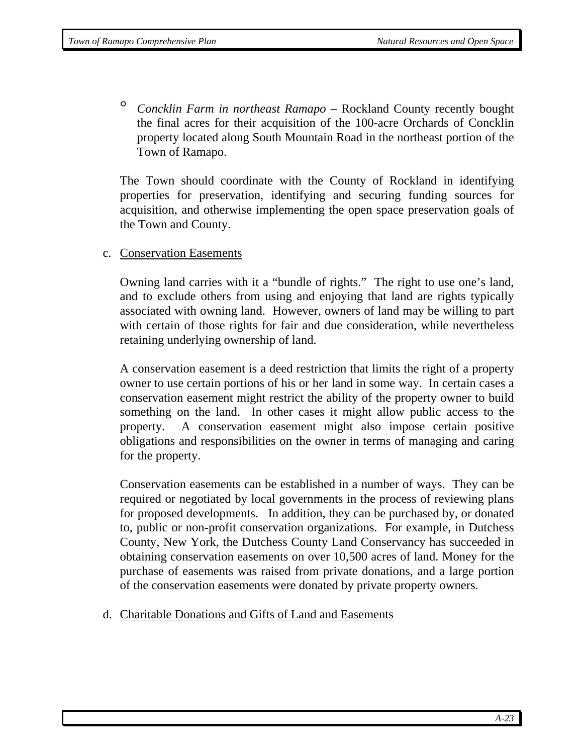° *Concklin Farm in northeast Ramapo* **–** Rockland County recently bought the final acres for their acquisition of the 100-acre Orchards of Concklin property located along South Mountain Road in the northeast portion of the Town of Ramapo.

The Town should coordinate with the County of Rockland in identifying properties for preservation, identifying and securing funding sources for acquisition, and otherwise implementing the open space preservation goals of the Town and County.

c. Conservation Easements

Owning land carries with it a "bundle of rights." The right to use one's land, and to exclude others from using and enjoying that land are rights typically associated with owning land. However, owners of land may be willing to part with certain of those rights for fair and due consideration, while nevertheless retaining underlying ownership of land.

A conservation easement is a deed restriction that limits the right of a property owner to use certain portions of his or her land in some way. In certain cases a conservation easement might restrict the ability of the property owner to build something on the land. In other cases it might allow public access to the property. A conservation easement might also impose certain positive obligations and responsibilities on the owner in terms of managing and caring for the property.

Conservation easements can be established in a number of ways. They can be required or negotiated by local governments in the process of reviewing plans for proposed developments. In addition, they can be purchased by, or donated to, public or non-profit conservation organizations. For example, in Dutchess County, New York, the Dutchess County Land Conservancy has succeeded in obtaining conservation easements on over 10,500 acres of land. Money for the purchase of easements was raised from private donations, and a large portion of the conservation easements were donated by private property owners.

d. Charitable Donations and Gifts of Land and Easements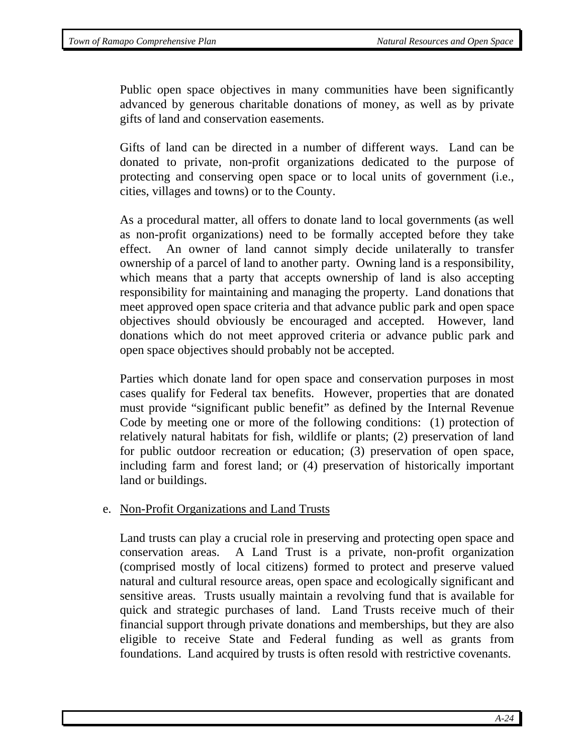Public open space objectives in many communities have been significantly advanced by generous charitable donations of money, as well as by private gifts of land and conservation easements.

Gifts of land can be directed in a number of different ways. Land can be donated to private, non-profit organizations dedicated to the purpose of protecting and conserving open space or to local units of government (i.e., cities, villages and towns) or to the County.

As a procedural matter, all offers to donate land to local governments (as well as non-profit organizations) need to be formally accepted before they take effect. An owner of land cannot simply decide unilaterally to transfer ownership of a parcel of land to another party. Owning land is a responsibility, which means that a party that accepts ownership of land is also accepting responsibility for maintaining and managing the property. Land donations that meet approved open space criteria and that advance public park and open space objectives should obviously be encouraged and accepted. However, land donations which do not meet approved criteria or advance public park and open space objectives should probably not be accepted.

Parties which donate land for open space and conservation purposes in most cases qualify for Federal tax benefits. However, properties that are donated must provide "significant public benefit" as defined by the Internal Revenue Code by meeting one or more of the following conditions: (1) protection of relatively natural habitats for fish, wildlife or plants; (2) preservation of land for public outdoor recreation or education; (3) preservation of open space, including farm and forest land; or (4) preservation of historically important land or buildings.

### e. Non-Profit Organizations and Land Trusts

Land trusts can play a crucial role in preserving and protecting open space and conservation areas. A Land Trust is a private, non-profit organization (comprised mostly of local citizens) formed to protect and preserve valued natural and cultural resource areas, open space and ecologically significant and sensitive areas. Trusts usually maintain a revolving fund that is available for quick and strategic purchases of land. Land Trusts receive much of their financial support through private donations and memberships, but they are also eligible to receive State and Federal funding as well as grants from foundations. Land acquired by trusts is often resold with restrictive covenants.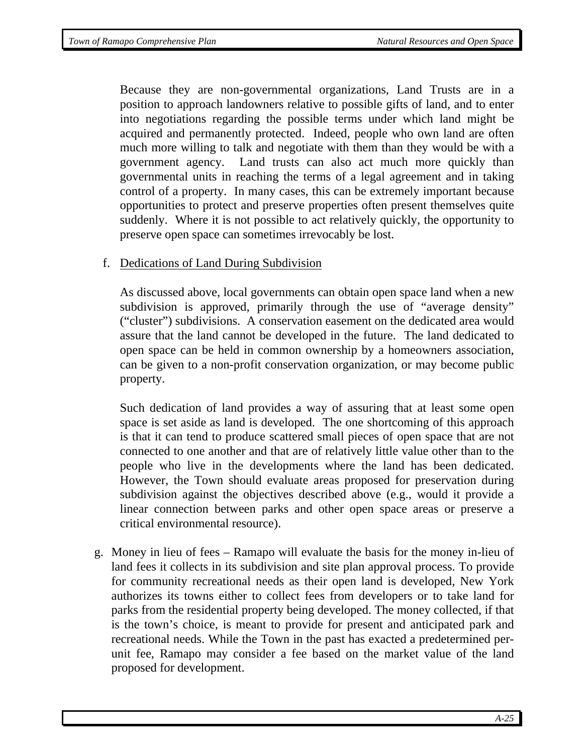Because they are non-governmental organizations, Land Trusts are in a position to approach landowners relative to possible gifts of land, and to enter into negotiations regarding the possible terms under which land might be acquired and permanently protected. Indeed, people who own land are often much more willing to talk and negotiate with them than they would be with a government agency. Land trusts can also act much more quickly than governmental units in reaching the terms of a legal agreement and in taking control of a property. In many cases, this can be extremely important because opportunities to protect and preserve properties often present themselves quite suddenly. Where it is not possible to act relatively quickly, the opportunity to preserve open space can sometimes irrevocably be lost.

#### f. Dedications of Land During Subdivision

As discussed above, local governments can obtain open space land when a new subdivision is approved, primarily through the use of "average density" ("cluster") subdivisions. A conservation easement on the dedicated area would assure that the land cannot be developed in the future. The land dedicated to open space can be held in common ownership by a homeowners association, can be given to a non-profit conservation organization, or may become public property.

Such dedication of land provides a way of assuring that at least some open space is set aside as land is developed. The one shortcoming of this approach is that it can tend to produce scattered small pieces of open space that are not connected to one another and that are of relatively little value other than to the people who live in the developments where the land has been dedicated. However, the Town should evaluate areas proposed for preservation during subdivision against the objectives described above (e.g., would it provide a linear connection between parks and other open space areas or preserve a critical environmental resource).

g. Money in lieu of fees *–* Ramapo will evaluate the basis for the money in-lieu of land fees it collects in its subdivision and site plan approval process. To provide for community recreational needs as their open land is developed, New York authorizes its towns either to collect fees from developers or to take land for parks from the residential property being developed. The money collected, if that is the town's choice, is meant to provide for present and anticipated park and recreational needs. While the Town in the past has exacted a predetermined perunit fee, Ramapo may consider a fee based on the market value of the land proposed for development.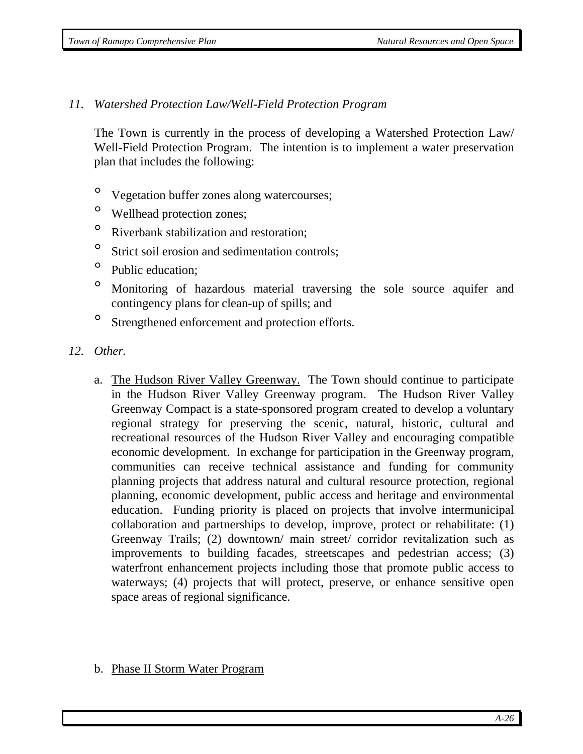### *11. Watershed Protection Law/Well-Field Protection Program*

The Town is currently in the process of developing a Watershed Protection Law/ Well-Field Protection Program. The intention is to implement a water preservation plan that includes the following:

- ° Vegetation buffer zones along watercourses;
- ° Wellhead protection zones;
- ° Riverbank stabilization and restoration;
- <sup>o</sup> Strict soil erosion and sedimentation controls;
- ° Public education;
- ° Monitoring of hazardous material traversing the sole source aquifer and contingency plans for clean-up of spills; and
- ° Strengthened enforcement and protection efforts.
- *12. Other.*
	- a. The Hudson River Valley Greenway. The Town should continue to participate in the Hudson River Valley Greenway program. The Hudson River Valley Greenway Compact is a state-sponsored program created to develop a voluntary regional strategy for preserving the scenic, natural, historic, cultural and recreational resources of the Hudson River Valley and encouraging compatible economic development. In exchange for participation in the Greenway program, communities can receive technical assistance and funding for community planning projects that address natural and cultural resource protection, regional planning, economic development, public access and heritage and environmental education. Funding priority is placed on projects that involve intermunicipal collaboration and partnerships to develop, improve, protect or rehabilitate: (1) Greenway Trails; (2) downtown/ main street/ corridor revitalization such as improvements to building facades, streetscapes and pedestrian access; (3) waterfront enhancement projects including those that promote public access to waterways; (4) projects that will protect, preserve, or enhance sensitive open space areas of regional significance.
	- b. Phase II Storm Water Program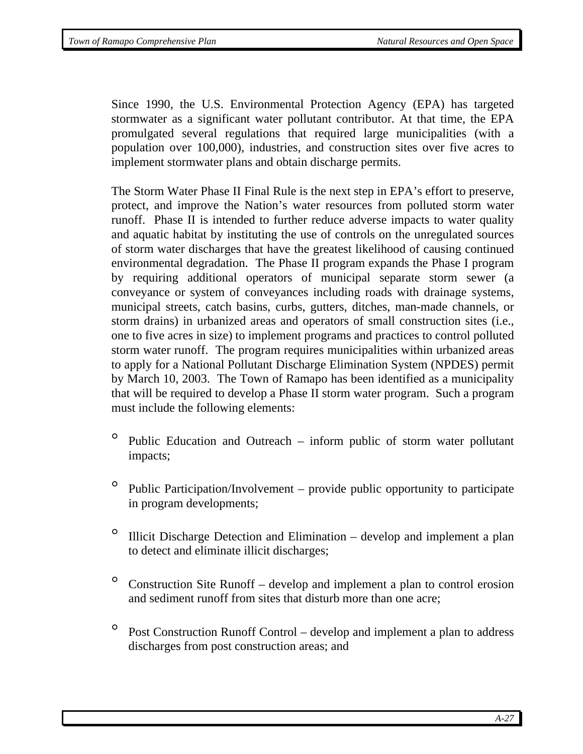Since 1990, the U.S. Environmental Protection Agency (EPA) has targeted stormwater as a significant water pollutant contributor. At that time, the EPA promulgated several regulations that required large municipalities (with a population over 100,000), industries, and construction sites over five acres to implement stormwater plans and obtain discharge permits.

The Storm Water Phase II Final Rule is the next step in EPA's effort to preserve, protect, and improve the Nation's water resources from polluted storm water runoff. Phase II is intended to further reduce adverse impacts to water quality and aquatic habitat by instituting the use of controls on the unregulated sources of storm water discharges that have the greatest likelihood of causing continued environmental degradation. The Phase II program expands the Phase I program by requiring additional operators of municipal separate storm sewer (a conveyance or system of conveyances including roads with drainage systems, municipal streets, catch basins, curbs, gutters, ditches, man-made channels, or storm drains) in urbanized areas and operators of small construction sites (i.e., one to five acres in size) to implement programs and practices to control polluted storm water runoff. The program requires municipalities within urbanized areas to apply for a National Pollutant Discharge Elimination System (NPDES) permit by March 10, 2003. The Town of Ramapo has been identified as a municipality that will be required to develop a Phase II storm water program. Such a program must include the following elements:

- ° Public Education and Outreach inform public of storm water pollutant impacts;
- $\degree$  Public Participation/Involvement provide public opportunity to participate in program developments;
- ° Illicit Discharge Detection and Elimination develop and implement a plan to detect and eliminate illicit discharges;
- $\degree$  Construction Site Runoff develop and implement a plan to control erosion and sediment runoff from sites that disturb more than one acre;
- $\degree$  Post Construction Runoff Control develop and implement a plan to address discharges from post construction areas; and